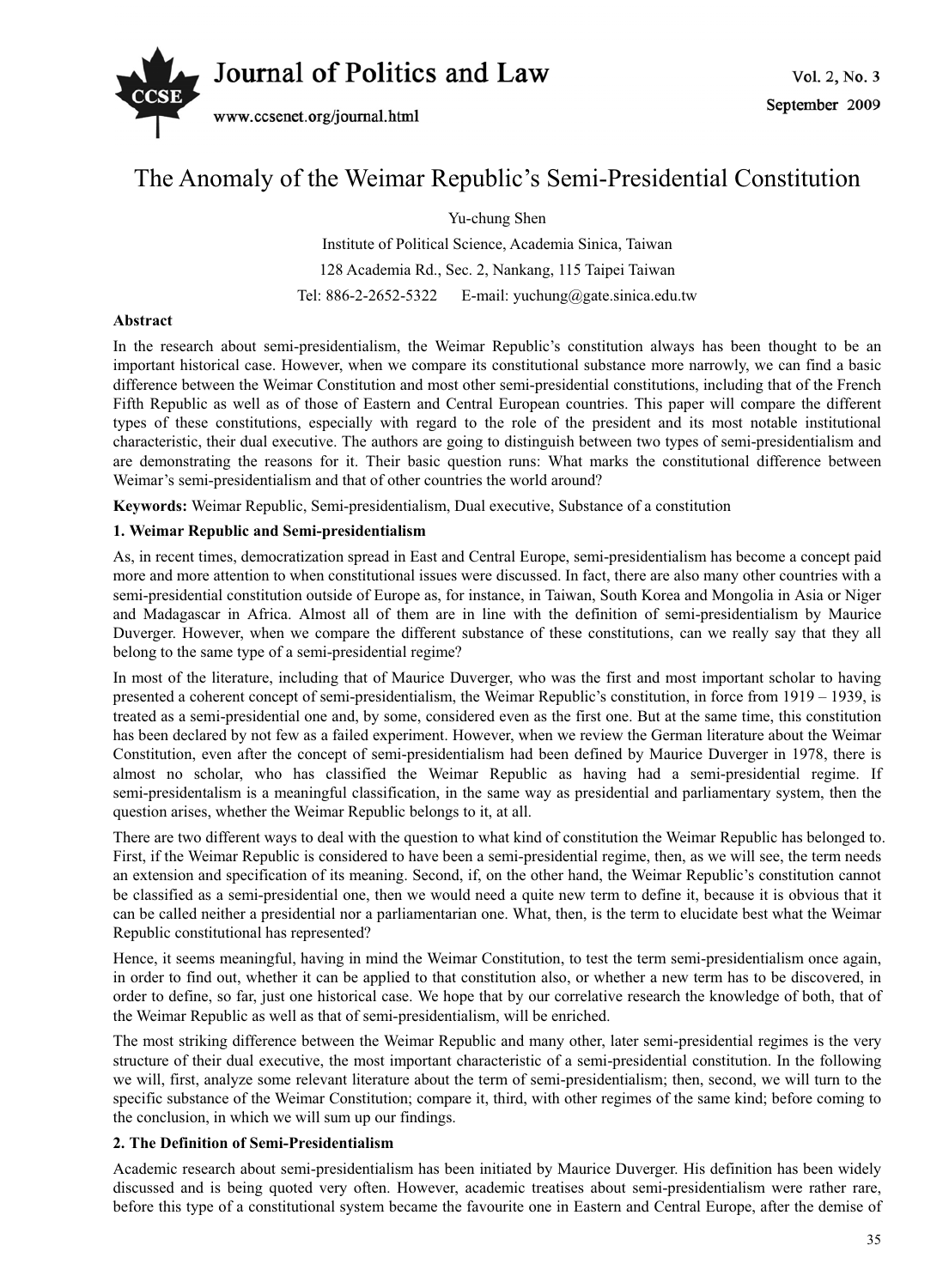

# The Anomaly of the Weimar Republic's Semi-Presidential Constitution

Yu-chung Shen

Institute of Political Science, Academia Sinica, Taiwan 128 Academia Rd., Sec. 2, Nankang, 115 Taipei Taiwan Tel: 886-2-2652-5322 E-mail: yuchung@gate.sinica.edu.tw

# **Abstract**

In the research about semi-presidentialism, the Weimar Republic's constitution always has been thought to be an important historical case. However, when we compare its constitutional substance more narrowly, we can find a basic difference between the Weimar Constitution and most other semi-presidential constitutions, including that of the French Fifth Republic as well as of those of Eastern and Central European countries. This paper will compare the different types of these constitutions, especially with regard to the role of the president and its most notable institutional characteristic, their dual executive. The authors are going to distinguish between two types of semi-presidentialism and are demonstrating the reasons for it. Their basic question runs: What marks the constitutional difference between Weimar's semi-presidentialism and that of other countries the world around?

**Keywords:** Weimar Republic, Semi-presidentialism, Dual executive, Substance of a constitution

## **1. Weimar Republic and Semi-presidentialism**

As, in recent times, democratization spread in East and Central Europe, semi-presidentialism has become a concept paid more and more attention to when constitutional issues were discussed. In fact, there are also many other countries with a semi-presidential constitution outside of Europe as, for instance, in Taiwan, South Korea and Mongolia in Asia or Niger and Madagascar in Africa. Almost all of them are in line with the definition of semi-presidentialism by Maurice Duverger. However, when we compare the different substance of these constitutions, can we really say that they all belong to the same type of a semi-presidential regime?

In most of the literature, including that of Maurice Duverger, who was the first and most important scholar to having presented a coherent concept of semi-presidentialism, the Weimar Republic's constitution, in force from 1919 – 1939, is treated as a semi-presidential one and, by some, considered even as the first one. But at the same time, this constitution has been declared by not few as a failed experiment. However, when we review the German literature about the Weimar Constitution, even after the concept of semi-presidentialism had been defined by Maurice Duverger in 1978, there is almost no scholar, who has classified the Weimar Republic as having had a semi-presidential regime. If semi-presidentalism is a meaningful classification, in the same way as presidential and parliamentary system, then the question arises, whether the Weimar Republic belongs to it, at all.

There are two different ways to deal with the question to what kind of constitution the Weimar Republic has belonged to. First, if the Weimar Republic is considered to have been a semi-presidential regime, then, as we will see, the term needs an extension and specification of its meaning. Second, if, on the other hand, the Weimar Republic's constitution cannot be classified as a semi-presidential one, then we would need a quite new term to define it, because it is obvious that it can be called neither a presidential nor a parliamentarian one. What, then, is the term to elucidate best what the Weimar Republic constitutional has represented?

Hence, it seems meaningful, having in mind the Weimar Constitution, to test the term semi-presidentialism once again, in order to find out, whether it can be applied to that constitution also, or whether a new term has to be discovered, in order to define, so far, just one historical case. We hope that by our correlative research the knowledge of both, that of the Weimar Republic as well as that of semi-presidentialism, will be enriched.

The most striking difference between the Weimar Republic and many other, later semi-presidential regimes is the very structure of their dual executive, the most important characteristic of a semi-presidential constitution. In the following we will, first, analyze some relevant literature about the term of semi-presidentialism; then, second, we will turn to the specific substance of the Weimar Constitution; compare it, third, with other regimes of the same kind; before coming to the conclusion, in which we will sum up our findings.

### **2. The Definition of Semi-Presidentialism**

Academic research about semi-presidentialism has been initiated by Maurice Duverger. His definition has been widely discussed and is being quoted very often. However, academic treatises about semi-presidentialism were rather rare, before this type of a constitutional system became the favourite one in Eastern and Central Europe, after the demise of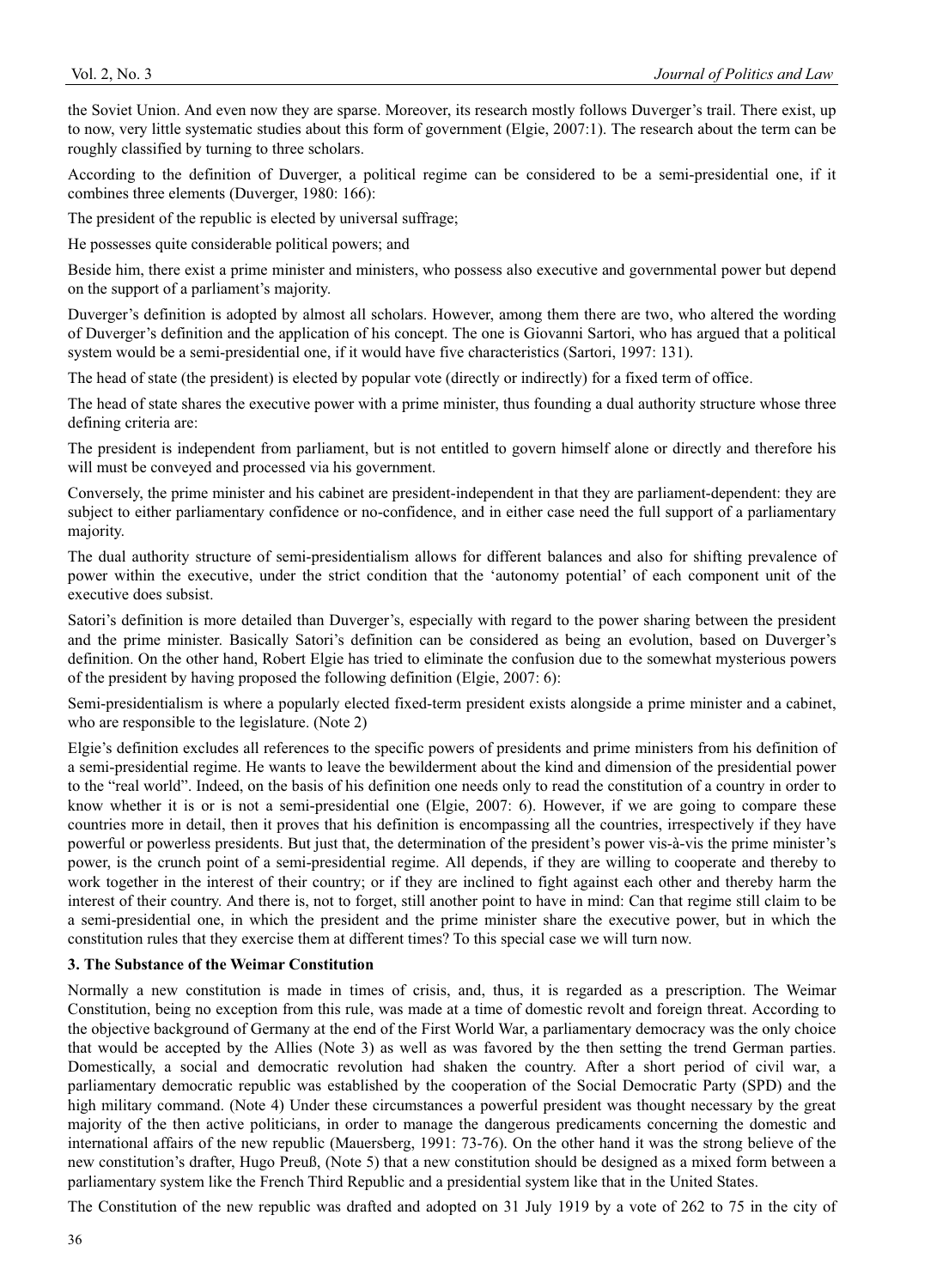the Soviet Union. And even now they are sparse. Moreover, its research mostly follows Duverger's trail. There exist, up to now, very little systematic studies about this form of government (Elgie, 2007:1). The research about the term can be roughly classified by turning to three scholars.

According to the definition of Duverger, a political regime can be considered to be a semi-presidential one, if it combines three elements (Duverger, 1980: 166):

The president of the republic is elected by universal suffrage;

He possesses quite considerable political powers; and

Beside him, there exist a prime minister and ministers, who possess also executive and governmental power but depend on the support of a parliament's majority.

Duverger's definition is adopted by almost all scholars. However, among them there are two, who altered the wording of Duverger's definition and the application of his concept. The one is Giovanni Sartori, who has argued that a political system would be a semi-presidential one, if it would have five characteristics (Sartori, 1997: 131).

The head of state (the president) is elected by popular vote (directly or indirectly) for a fixed term of office.

The head of state shares the executive power with a prime minister, thus founding a dual authority structure whose three defining criteria are:

The president is independent from parliament, but is not entitled to govern himself alone or directly and therefore his will must be conveyed and processed via his government.

Conversely, the prime minister and his cabinet are president-independent in that they are parliament-dependent: they are subject to either parliamentary confidence or no-confidence, and in either case need the full support of a parliamentary majority.

The dual authority structure of semi-presidentialism allows for different balances and also for shifting prevalence of power within the executive, under the strict condition that the 'autonomy potential' of each component unit of the executive does subsist.

Satori's definition is more detailed than Duverger's, especially with regard to the power sharing between the president and the prime minister. Basically Satori's definition can be considered as being an evolution, based on Duverger's definition. On the other hand, Robert Elgie has tried to eliminate the confusion due to the somewhat mysterious powers of the president by having proposed the following definition (Elgie, 2007: 6):

Semi-presidentialism is where a popularly elected fixed-term president exists alongside a prime minister and a cabinet, who are responsible to the legislature. (Note 2)

Elgie's definition excludes all references to the specific powers of presidents and prime ministers from his definition of a semi-presidential regime. He wants to leave the bewilderment about the kind and dimension of the presidential power to the "real world". Indeed, on the basis of his definition one needs only to read the constitution of a country in order to know whether it is or is not a semi-presidential one (Elgie, 2007: 6). However, if we are going to compare these countries more in detail, then it proves that his definition is encompassing all the countries, irrespectively if they have powerful or powerless presidents. But just that, the determination of the president's power vis-à-vis the prime minister's power, is the crunch point of a semi-presidential regime. All depends, if they are willing to cooperate and thereby to work together in the interest of their country; or if they are inclined to fight against each other and thereby harm the interest of their country. And there is, not to forget, still another point to have in mind: Can that regime still claim to be a semi-presidential one, in which the president and the prime minister share the executive power, but in which the constitution rules that they exercise them at different times? To this special case we will turn now.

### **3. The Substance of the Weimar Constitution**

Normally a new constitution is made in times of crisis, and, thus, it is regarded as a prescription. The Weimar Constitution, being no exception from this rule, was made at a time of domestic revolt and foreign threat. According to the objective background of Germany at the end of the First World War, a parliamentary democracy was the only choice that would be accepted by the Allies (Note 3) as well as was favored by the then setting the trend German parties. Domestically, a social and democratic revolution had shaken the country. After a short period of civil war, a parliamentary democratic republic was established by the cooperation of the Social Democratic Party (SPD) and the high military command. (Note 4) Under these circumstances a powerful president was thought necessary by the great majority of the then active politicians, in order to manage the dangerous predicaments concerning the domestic and international affairs of the new republic (Mauersberg, 1991: 73-76). On the other hand it was the strong believe of the new constitution's drafter, Hugo Preuß, (Note 5) that a new constitution should be designed as a mixed form between a parliamentary system like the French Third Republic and a presidential system like that in the United States.

The Constitution of the new republic was drafted and adopted on 31 July 1919 by a vote of 262 to 75 in the city of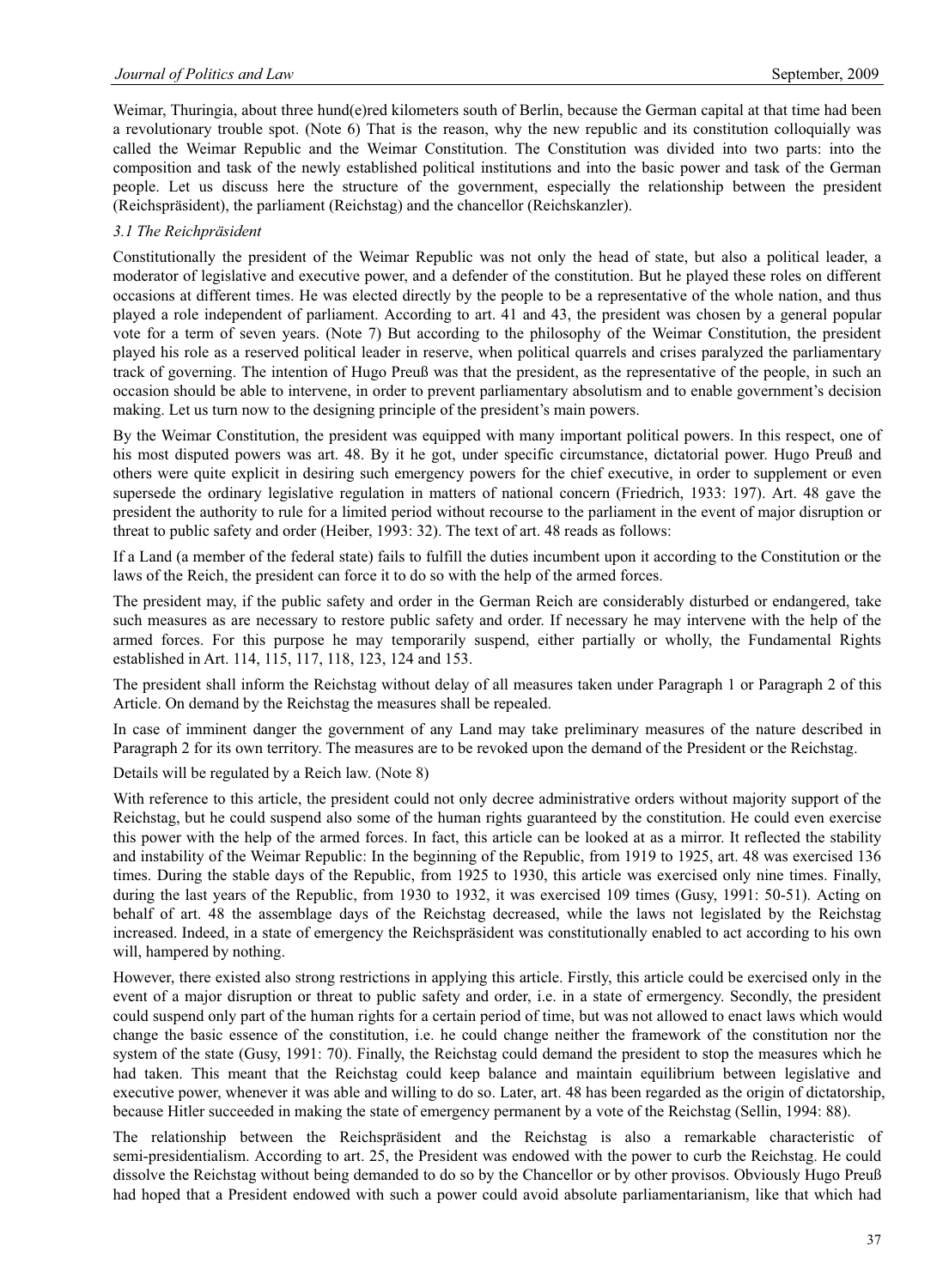Weimar, Thuringia, about three hund(e)red kilometers south of Berlin, because the German capital at that time had been a revolutionary trouble spot. (Note 6) That is the reason, why the new republic and its constitution colloquially was called the Weimar Republic and the Weimar Constitution. The Constitution was divided into two parts: into the composition and task of the newly established political institutions and into the basic power and task of the German people. Let us discuss here the structure of the government, especially the relationship between the president (Reichspräsident), the parliament (Reichstag) and the chancellor (Reichskanzler).

## *3.1 The Reichpräsident*

Constitutionally the president of the Weimar Republic was not only the head of state, but also a political leader, a moderator of legislative and executive power, and a defender of the constitution. But he played these roles on different occasions at different times. He was elected directly by the people to be a representative of the whole nation, and thus played a role independent of parliament. According to art. 41 and 43, the president was chosen by a general popular vote for a term of seven years. (Note 7) But according to the philosophy of the Weimar Constitution, the president played his role as a reserved political leader in reserve, when political quarrels and crises paralyzed the parliamentary track of governing. The intention of Hugo Preuß was that the president, as the representative of the people, in such an occasion should be able to intervene, in order to prevent parliamentary absolutism and to enable government's decision making. Let us turn now to the designing principle of the president's main powers.

By the Weimar Constitution, the president was equipped with many important political powers. In this respect, one of his most disputed powers was art. 48. By it he got, under specific circumstance, dictatorial power. Hugo Preuß and others were quite explicit in desiring such emergency powers for the chief executive, in order to supplement or even supersede the ordinary legislative regulation in matters of national concern (Friedrich, 1933: 197). Art. 48 gave the president the authority to rule for a limited period without recourse to the parliament in the event of major disruption or threat to public safety and order (Heiber, 1993: 32). The text of art. 48 reads as follows:

If a Land (a member of the federal state) fails to fulfill the duties incumbent upon it according to the Constitution or the laws of the Reich, the president can force it to do so with the help of the armed forces.

The president may, if the public safety and order in the German Reich are considerably disturbed or endangered, take such measures as are necessary to restore public safety and order. If necessary he may intervene with the help of the armed forces. For this purpose he may temporarily suspend, either partially or wholly, the Fundamental Rights established in Art. 114, 115, 117, 118, 123, 124 and 153.

The president shall inform the Reichstag without delay of all measures taken under Paragraph 1 or Paragraph 2 of this Article. On demand by the Reichstag the measures shall be repealed.

In case of imminent danger the government of any Land may take preliminary measures of the nature described in Paragraph 2 for its own territory. The measures are to be revoked upon the demand of the President or the Reichstag.

Details will be regulated by a Reich law. (Note 8)

With reference to this article, the president could not only decree administrative orders without majority support of the Reichstag, but he could suspend also some of the human rights guaranteed by the constitution. He could even exercise this power with the help of the armed forces. In fact, this article can be looked at as a mirror. It reflected the stability and instability of the Weimar Republic: In the beginning of the Republic, from 1919 to 1925, art. 48 was exercised 136 times. During the stable days of the Republic, from 1925 to 1930, this article was exercised only nine times. Finally, during the last years of the Republic, from 1930 to 1932, it was exercised 109 times (Gusy, 1991: 50-51). Acting on behalf of art. 48 the assemblage days of the Reichstag decreased, while the laws not legislated by the Reichstag increased. Indeed, in a state of emergency the Reichspräsident was constitutionally enabled to act according to his own will, hampered by nothing.

However, there existed also strong restrictions in applying this article. Firstly, this article could be exercised only in the event of a major disruption or threat to public safety and order, i.e. in a state of ermergency. Secondly, the president could suspend only part of the human rights for a certain period of time, but was not allowed to enact laws which would change the basic essence of the constitution, i.e. he could change neither the framework of the constitution nor the system of the state (Gusy, 1991: 70). Finally, the Reichstag could demand the president to stop the measures which he had taken. This meant that the Reichstag could keep balance and maintain equilibrium between legislative and executive power, whenever it was able and willing to do so. Later, art. 48 has been regarded as the origin of dictatorship, because Hitler succeeded in making the state of emergency permanent by a vote of the Reichstag (Sellin, 1994: 88).

The relationship between the Reichspräsident and the Reichstag is also a remarkable characteristic of semi-presidentialism. According to art. 25, the President was endowed with the power to curb the Reichstag. He could dissolve the Reichstag without being demanded to do so by the Chancellor or by other provisos. Obviously Hugo Preuß had hoped that a President endowed with such a power could avoid absolute parliamentarianism, like that which had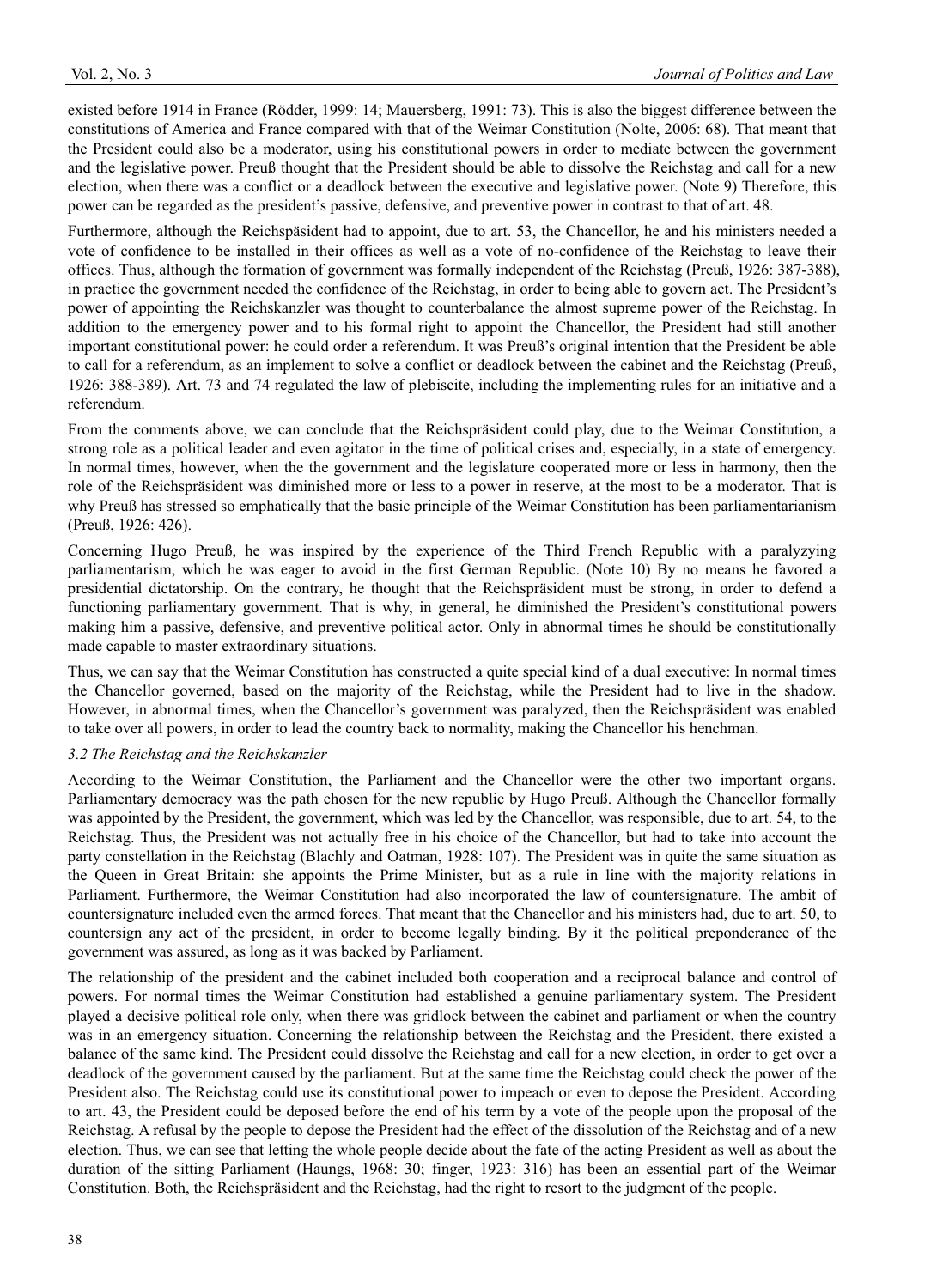existed before 1914 in France (Rödder, 1999: 14; Mauersberg, 1991: 73). This is also the biggest difference between the constitutions of America and France compared with that of the Weimar Constitution (Nolte, 2006: 68). That meant that the President could also be a moderator, using his constitutional powers in order to mediate between the government and the legislative power. Preuß thought that the President should be able to dissolve the Reichstag and call for a new election, when there was a conflict or a deadlock between the executive and legislative power. (Note 9) Therefore, this power can be regarded as the president's passive, defensive, and preventive power in contrast to that of art. 48.

Furthermore, although the Reichspäsident had to appoint, due to art. 53, the Chancellor, he and his ministers needed a vote of confidence to be installed in their offices as well as a vote of no-confidence of the Reichstag to leave their offices. Thus, although the formation of government was formally independent of the Reichstag (Preuß, 1926: 387-388), in practice the government needed the confidence of the Reichstag, in order to being able to govern act. The President's power of appointing the Reichskanzler was thought to counterbalance the almost supreme power of the Reichstag. In addition to the emergency power and to his formal right to appoint the Chancellor, the President had still another important constitutional power: he could order a referendum. It was Preuß's original intention that the President be able to call for a referendum, as an implement to solve a conflict or deadlock between the cabinet and the Reichstag (Preuß, 1926: 388-389). Art. 73 and 74 regulated the law of plebiscite, including the implementing rules for an initiative and a referendum.

From the comments above, we can conclude that the Reichspräsident could play, due to the Weimar Constitution, a strong role as a political leader and even agitator in the time of political crises and, especially, in a state of emergency. In normal times, however, when the the government and the legislature cooperated more or less in harmony, then the role of the Reichspräsident was diminished more or less to a power in reserve, at the most to be a moderator. That is why Preuß has stressed so emphatically that the basic principle of the Weimar Constitution has been parliamentarianism (Preuß, 1926: 426).

Concerning Hugo Preuß, he was inspired by the experience of the Third French Republic with a paralyzying parliamentarism, which he was eager to avoid in the first German Republic. (Note 10) By no means he favored a presidential dictatorship. On the contrary, he thought that the Reichspräsident must be strong, in order to defend a functioning parliamentary government. That is why, in general, he diminished the President's constitutional powers making him a passive, defensive, and preventive political actor. Only in abnormal times he should be constitutionally made capable to master extraordinary situations.

Thus, we can say that the Weimar Constitution has constructed a quite special kind of a dual executive: In normal times the Chancellor governed, based on the majority of the Reichstag, while the President had to live in the shadow. However, in abnormal times, when the Chancellor's government was paralyzed, then the Reichspräsident was enabled to take over all powers, in order to lead the country back to normality, making the Chancellor his henchman.

### *3.2 The Reichstag and the Reichskanzler*

According to the Weimar Constitution, the Parliament and the Chancellor were the other two important organs. Parliamentary democracy was the path chosen for the new republic by Hugo Preuß. Although the Chancellor formally was appointed by the President, the government, which was led by the Chancellor, was responsible, due to art. 54, to the Reichstag. Thus, the President was not actually free in his choice of the Chancellor, but had to take into account the party constellation in the Reichstag (Blachly and Oatman, 1928: 107). The President was in quite the same situation as the Queen in Great Britain: she appoints the Prime Minister, but as a rule in line with the majority relations in Parliament. Furthermore, the Weimar Constitution had also incorporated the law of countersignature. The ambit of countersignature included even the armed forces. That meant that the Chancellor and his ministers had, due to art. 50, to countersign any act of the president, in order to become legally binding. By it the political preponderance of the government was assured, as long as it was backed by Parliament.

The relationship of the president and the cabinet included both cooperation and a reciprocal balance and control of powers. For normal times the Weimar Constitution had established a genuine parliamentary system. The President played a decisive political role only, when there was gridlock between the cabinet and parliament or when the country was in an emergency situation. Concerning the relationship between the Reichstag and the President, there existed a balance of the same kind. The President could dissolve the Reichstag and call for a new election, in order to get over a deadlock of the government caused by the parliament. But at the same time the Reichstag could check the power of the President also. The Reichstag could use its constitutional power to impeach or even to depose the President. According to art. 43, the President could be deposed before the end of his term by a vote of the people upon the proposal of the Reichstag. A refusal by the people to depose the President had the effect of the dissolution of the Reichstag and of a new election. Thus, we can see that letting the whole people decide about the fate of the acting President as well as about the duration of the sitting Parliament (Haungs, 1968: 30; finger, 1923: 316) has been an essential part of the Weimar Constitution. Both, the Reichspräsident and the Reichstag, had the right to resort to the judgment of the people.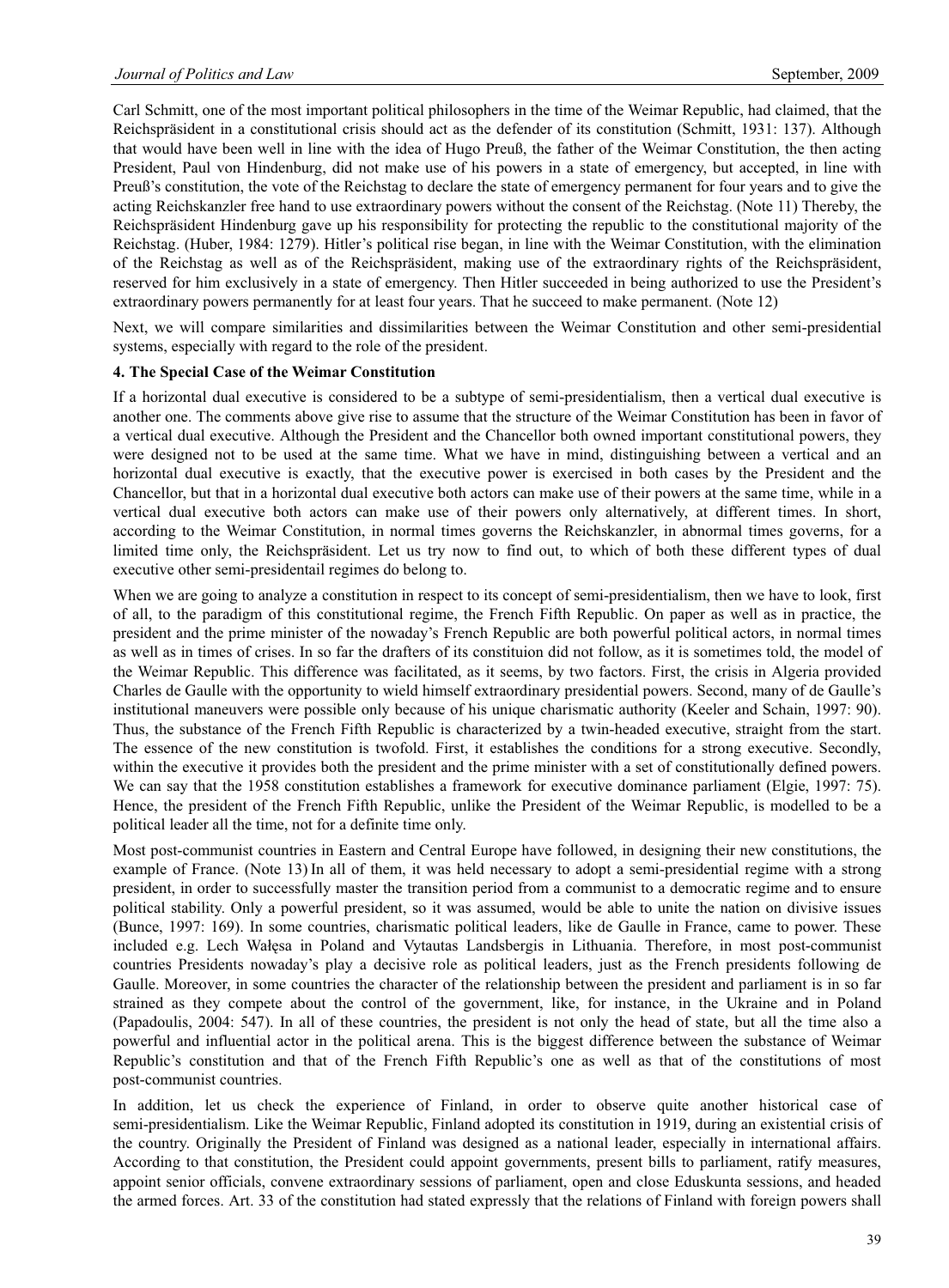Carl Schmitt, one of the most important political philosophers in the time of the Weimar Republic, had claimed, that the Reichspräsident in a constitutional crisis should act as the defender of its constitution (Schmitt, 1931: 137). Although that would have been well in line with the idea of Hugo Preuß, the father of the Weimar Constitution, the then acting President, Paul von Hindenburg, did not make use of his powers in a state of emergency, but accepted, in line with Preuß's constitution, the vote of the Reichstag to declare the state of emergency permanent for four years and to give the acting Reichskanzler free hand to use extraordinary powers without the consent of the Reichstag. (Note 11) Thereby, the Reichspräsident Hindenburg gave up his responsibility for protecting the republic to the constitutional majority of the Reichstag. (Huber, 1984: 1279). Hitler's political rise began, in line with the Weimar Constitution, with the elimination of the Reichstag as well as of the Reichspräsident, making use of the extraordinary rights of the Reichspräsident, reserved for him exclusively in a state of emergency. Then Hitler succeeded in being authorized to use the President's extraordinary powers permanently for at least four years. That he succeed to make permanent. (Note 12)

Next, we will compare similarities and dissimilarities between the Weimar Constitution and other semi-presidential systems, especially with regard to the role of the president.

#### **4. The Special Case of the Weimar Constitution**

If a horizontal dual executive is considered to be a subtype of semi-presidentialism, then a vertical dual executive is another one. The comments above give rise to assume that the structure of the Weimar Constitution has been in favor of a vertical dual executive. Although the President and the Chancellor both owned important constitutional powers, they were designed not to be used at the same time. What we have in mind, distinguishing between a vertical and an horizontal dual executive is exactly, that the executive power is exercised in both cases by the President and the Chancellor, but that in a horizontal dual executive both actors can make use of their powers at the same time, while in a vertical dual executive both actors can make use of their powers only alternatively, at different times. In short, according to the Weimar Constitution, in normal times governs the Reichskanzler, in abnormal times governs, for a limited time only, the Reichspräsident. Let us try now to find out, to which of both these different types of dual executive other semi-presidentail regimes do belong to.

When we are going to analyze a constitution in respect to its concept of semi-presidentialism, then we have to look, first of all, to the paradigm of this constitutional regime, the French Fifth Republic. On paper as well as in practice, the president and the prime minister of the nowaday's French Republic are both powerful political actors, in normal times as well as in times of crises. In so far the drafters of its constituion did not follow, as it is sometimes told, the model of the Weimar Republic. This difference was facilitated, as it seems, by two factors. First, the crisis in Algeria provided Charles de Gaulle with the opportunity to wield himself extraordinary presidential powers. Second, many of de Gaulle's institutional maneuvers were possible only because of his unique charismatic authority (Keeler and Schain, 1997: 90). Thus, the substance of the French Fifth Republic is characterized by a twin-headed executive, straight from the start. The essence of the new constitution is twofold. First, it establishes the conditions for a strong executive. Secondly, within the executive it provides both the president and the prime minister with a set of constitutionally defined powers. We can say that the 1958 constitution establishes a framework for executive dominance parliament (Elgie, 1997: 75). Hence, the president of the French Fifth Republic, unlike the President of the Weimar Republic, is modelled to be a political leader all the time, not for a definite time only.

Most post-communist countries in Eastern and Central Europe have followed, in designing their new constitutions, the example of France. (Note 13) In all of them, it was held necessary to adopt a semi-presidential regime with a strong president, in order to successfully master the transition period from a communist to a democratic regime and to ensure political stability. Only a powerful president, so it was assumed, would be able to unite the nation on divisive issues (Bunce, 1997: 169). In some countries, charismatic political leaders, like de Gaulle in France, came to power. These included e.g. Lech Wałęsa in Poland and Vytautas Landsbergis in Lithuania. Therefore, in most post-communist countries Presidents nowaday's play a decisive role as political leaders, just as the French presidents following de Gaulle. Moreover, in some countries the character of the relationship between the president and parliament is in so far strained as they compete about the control of the government, like, for instance, in the Ukraine and in Poland (Papadoulis, 2004: 547). In all of these countries, the president is not only the head of state, but all the time also a powerful and influential actor in the political arena. This is the biggest difference between the substance of Weimar Republic's constitution and that of the French Fifth Republic's one as well as that of the constitutions of most post-communist countries.

In addition, let us check the experience of Finland, in order to observe quite another historical case of semi-presidentialism. Like the Weimar Republic, Finland adopted its constitution in 1919, during an existential crisis of the country. Originally the President of Finland was designed as a national leader, especially in international affairs. According to that constitution, the President could appoint governments, present bills to parliament, ratify measures, appoint senior officials, convene extraordinary sessions of parliament, open and close Eduskunta sessions, and headed the armed forces. Art. 33 of the constitution had stated expressly that the relations of Finland with foreign powers shall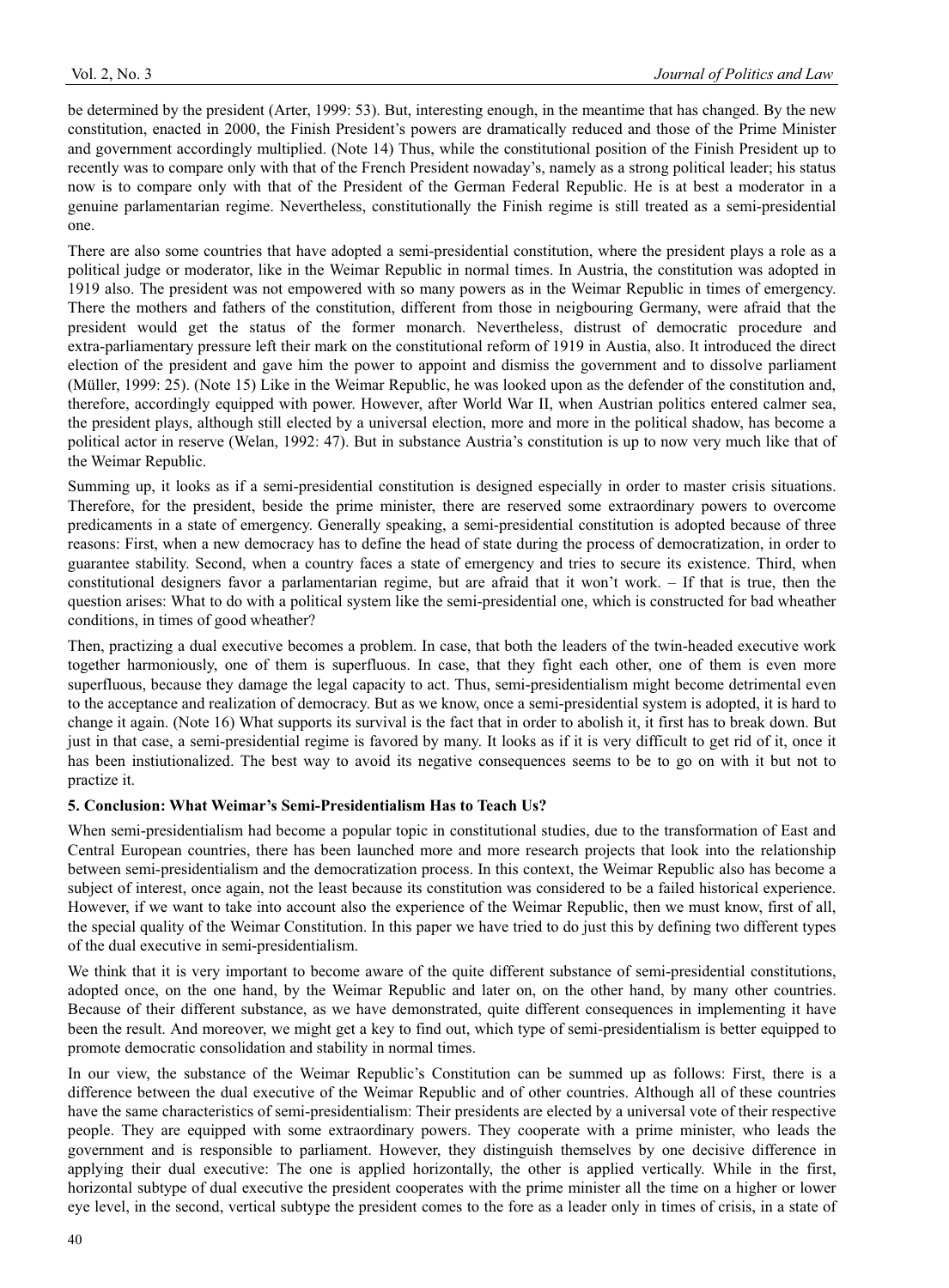be determined by the president (Arter, 1999: 53). But, interesting enough, in the meantime that has changed. By the new constitution, enacted in 2000, the Finish President's powers are dramatically reduced and those of the Prime Minister and government accordingly multiplied. (Note 14) Thus, while the constitutional position of the Finish President up to recently was to compare only with that of the French President nowaday's, namely as a strong political leader; his status now is to compare only with that of the President of the German Federal Republic. He is at best a moderator in a genuine parlamentarian regime. Nevertheless, constitutionally the Finish regime is still treated as a semi-presidential one.

There are also some countries that have adopted a semi-presidential constitution, where the president plays a role as a political judge or moderator, like in the Weimar Republic in normal times. In Austria, the constitution was adopted in 1919 also. The president was not empowered with so many powers as in the Weimar Republic in times of emergency. There the mothers and fathers of the constitution, different from those in neigbouring Germany, were afraid that the president would get the status of the former monarch. Nevertheless, distrust of democratic procedure and extra-parliamentary pressure left their mark on the constitutional reform of 1919 in Austia, also. It introduced the direct election of the president and gave him the power to appoint and dismiss the government and to dissolve parliament (Müller, 1999: 25). (Note 15) Like in the Weimar Republic, he was looked upon as the defender of the constitution and, therefore, accordingly equipped with power. However, after World War II, when Austrian politics entered calmer sea, the president plays, although still elected by a universal election, more and more in the political shadow, has become a political actor in reserve (Welan, 1992: 47). But in substance Austria's constitution is up to now very much like that of the Weimar Republic.

Summing up, it looks as if a semi-presidential constitution is designed especially in order to master crisis situations. Therefore, for the president, beside the prime minister, there are reserved some extraordinary powers to overcome predicaments in a state of emergency. Generally speaking, a semi-presidential constitution is adopted because of three reasons: First, when a new democracy has to define the head of state during the process of democratization, in order to guarantee stability. Second, when a country faces a state of emergency and tries to secure its existence. Third, when constitutional designers favor a parlamentarian regime, but are afraid that it won't work. – If that is true, then the question arises: What to do with a political system like the semi-presidential one, which is constructed for bad wheather conditions, in times of good wheather?

Then, practizing a dual executive becomes a problem. In case, that both the leaders of the twin-headed executive work together harmoniously, one of them is superfluous. In case, that they fight each other, one of them is even more superfluous, because they damage the legal capacity to act. Thus, semi-presidentialism might become detrimental even to the acceptance and realization of democracy. But as we know, once a semi-presidential system is adopted, it is hard to change it again. (Note 16) What supports its survival is the fact that in order to abolish it, it first has to break down. But just in that case, a semi-presidential regime is favored by many. It looks as if it is very difficult to get rid of it, once it has been instiutionalized. The best way to avoid its negative consequences seems to be to go on with it but not to practize it.

# **5. Conclusion: What Weimar's Semi-Presidentialism Has to Teach Us?**

When semi-presidentialism had become a popular topic in constitutional studies, due to the transformation of East and Central European countries, there has been launched more and more research projects that look into the relationship between semi-presidentialism and the democratization process. In this context, the Weimar Republic also has become a subject of interest, once again, not the least because its constitution was considered to be a failed historical experience. However, if we want to take into account also the experience of the Weimar Republic, then we must know, first of all, the special quality of the Weimar Constitution. In this paper we have tried to do just this by defining two different types of the dual executive in semi-presidentialism.

We think that it is very important to become aware of the quite different substance of semi-presidential constitutions, adopted once, on the one hand, by the Weimar Republic and later on, on the other hand, by many other countries. Because of their different substance, as we have demonstrated, quite different consequences in implementing it have been the result. And moreover, we might get a key to find out, which type of semi-presidentialism is better equipped to promote democratic consolidation and stability in normal times.

In our view, the substance of the Weimar Republic's Constitution can be summed up as follows: First, there is a difference between the dual executive of the Weimar Republic and of other countries. Although all of these countries have the same characteristics of semi-presidentialism: Their presidents are elected by a universal vote of their respective people. They are equipped with some extraordinary powers. They cooperate with a prime minister, who leads the government and is responsible to parliament. However, they distinguish themselves by one decisive difference in applying their dual executive: The one is applied horizontally, the other is applied vertically. While in the first, horizontal subtype of dual executive the president cooperates with the prime minister all the time on a higher or lower eye level, in the second, vertical subtype the president comes to the fore as a leader only in times of crisis, in a state of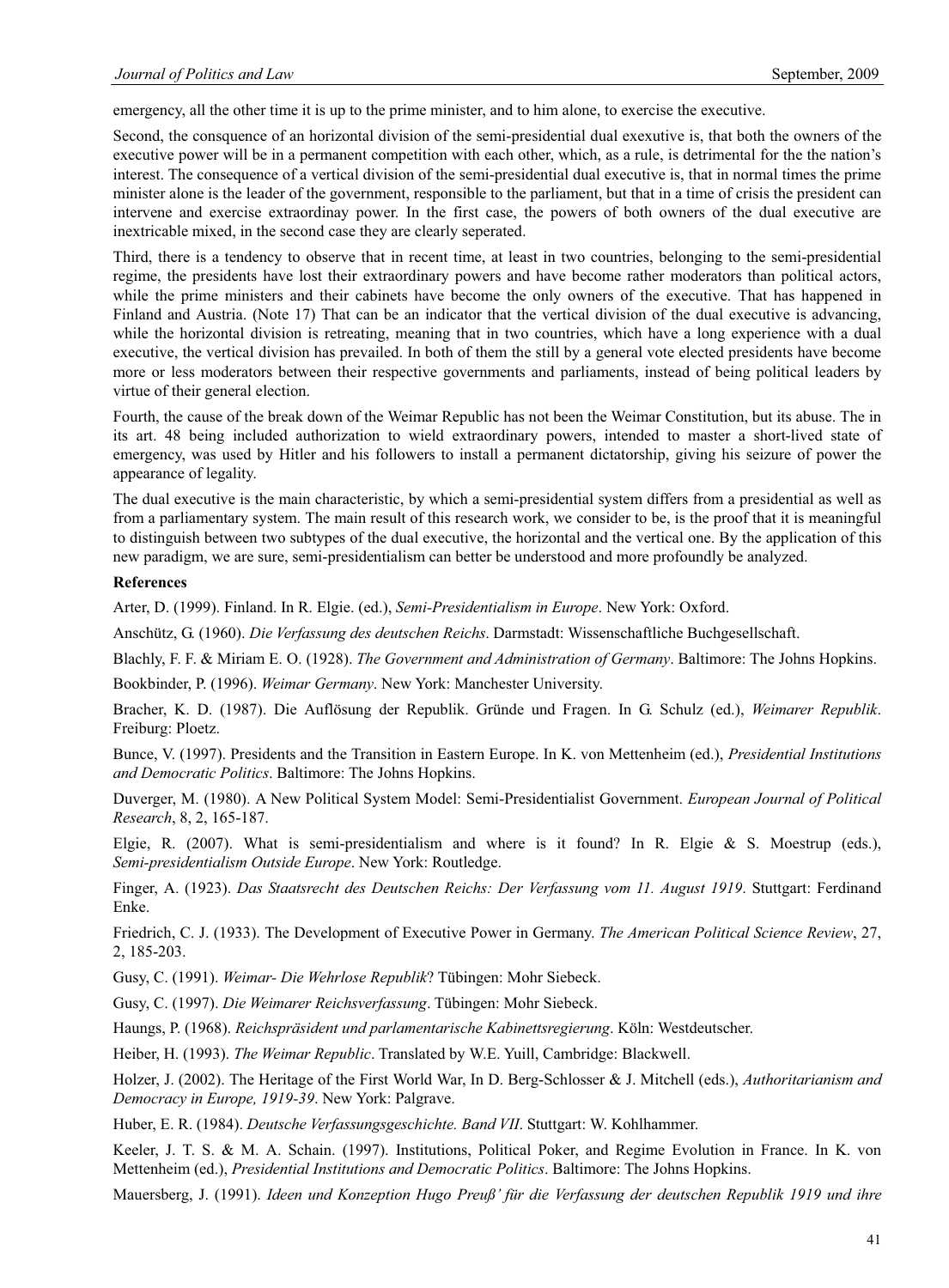emergency, all the other time it is up to the prime minister, and to him alone, to exercise the executive.

Second, the consquence of an horizontal division of the semi-presidential dual exexutive is, that both the owners of the executive power will be in a permanent competition with each other, which, as a rule, is detrimental for the the nation's interest. The consequence of a vertical division of the semi-presidential dual executive is, that in normal times the prime minister alone is the leader of the government, responsible to the parliament, but that in a time of crisis the president can intervene and exercise extraordinay power. In the first case, the powers of both owners of the dual executive are inextricable mixed, in the second case they are clearly seperated.

Third, there is a tendency to observe that in recent time, at least in two countries, belonging to the semi-presidential regime, the presidents have lost their extraordinary powers and have become rather moderators than political actors, while the prime ministers and their cabinets have become the only owners of the executive. That has happened in Finland and Austria. (Note 17) That can be an indicator that the vertical division of the dual executive is advancing, while the horizontal division is retreating, meaning that in two countries, which have a long experience with a dual executive, the vertical division has prevailed. In both of them the still by a general vote elected presidents have become more or less moderators between their respective governments and parliaments, instead of being political leaders by virtue of their general election.

Fourth, the cause of the break down of the Weimar Republic has not been the Weimar Constitution, but its abuse. The in its art. 48 being included authorization to wield extraordinary powers, intended to master a short-lived state of emergency, was used by Hitler and his followers to install a permanent dictatorship, giving his seizure of power the appearance of legality.

The dual executive is the main characteristic, by which a semi-presidential system differs from a presidential as well as from a parliamentary system. The main result of this research work, we consider to be, is the proof that it is meaningful to distinguish between two subtypes of the dual executive, the horizontal and the vertical one. By the application of this new paradigm, we are sure, semi-presidentialism can better be understood and more profoundly be analyzed.

#### **References**

Arter, D. (1999). Finland. In R. Elgie. (ed.), *Semi-Presidentialism in Europe*. New York: Oxford.

Anschütz, G. (1960). *Die Verfassung des deutschen Reichs*. Darmstadt: Wissenschaftliche Buchgesellschaft.

Blachly, F. F. & Miriam E. O. (1928). *The Government and Administration of Germany*. Baltimore: The Johns Hopkins.

Bookbinder, P. (1996). *Weimar Germany*. New York: Manchester University.

Bracher, K. D. (1987). Die Auflösung der Republik. Gründe und Fragen. In G. Schulz (ed.), *Weimarer Republik*. Freiburg: Ploetz.

Bunce, V. (1997). Presidents and the Transition in Eastern Europe. In K. von Mettenheim (ed.), *Presidential Institutions and Democratic Politics*. Baltimore: The Johns Hopkins.

Duverger, M. (1980). A New Political System Model: Semi-Presidentialist Government. *European Journal of Political Research*, 8, 2, 165-187.

Elgie, R. (2007). What is semi-presidentialism and where is it found? In R. Elgie & S. Moestrup (eds.), *Semi-presidentialism Outside Europe*. New York: Routledge.

Finger, A. (1923). *Das Staatsrecht des Deutschen Reichs: Der Verfassung vom 11. August 1919*. Stuttgart: Ferdinand Enke.

Friedrich, C. J. (1933). The Development of Executive Power in Germany. *The American Political Science Review*, 27, 2, 185-203.

Gusy, C. (1991). *Weimar- Die Wehrlose Republik*? Tübingen: Mohr Siebeck.

Gusy, C. (1997). *Die Weimarer Reichsverfassung*. Tübingen: Mohr Siebeck.

Haungs, P. (1968). *Reichspräsident und parlamentarische Kabinettsregierung*. Köln: Westdeutscher.

Heiber, H. (1993). *The Weimar Republic*. Translated by W.E. Yuill, Cambridge: Blackwell.

Holzer, J. (2002). The Heritage of the First World War, In D. Berg-Schlosser & J. Mitchell (eds.), *Authoritarianism and Democracy in Europe, 1919-39*. New York: Palgrave.

Huber, E. R. (1984). *Deutsche Verfassungsgeschichte. Band VII*. Stuttgart: W. Kohlhammer.

Keeler, J. T. S. & M. A. Schain. (1997). Institutions, Political Poker, and Regime Evolution in France. In K. von Mettenheim (ed.), *Presidential Institutions and Democratic Politics*. Baltimore: The Johns Hopkins.

Mauersberg, J. (1991). *Ideen und Konzeption Hugo Preuß' für die Verfassung der deutschen Republik 1919 und ihre*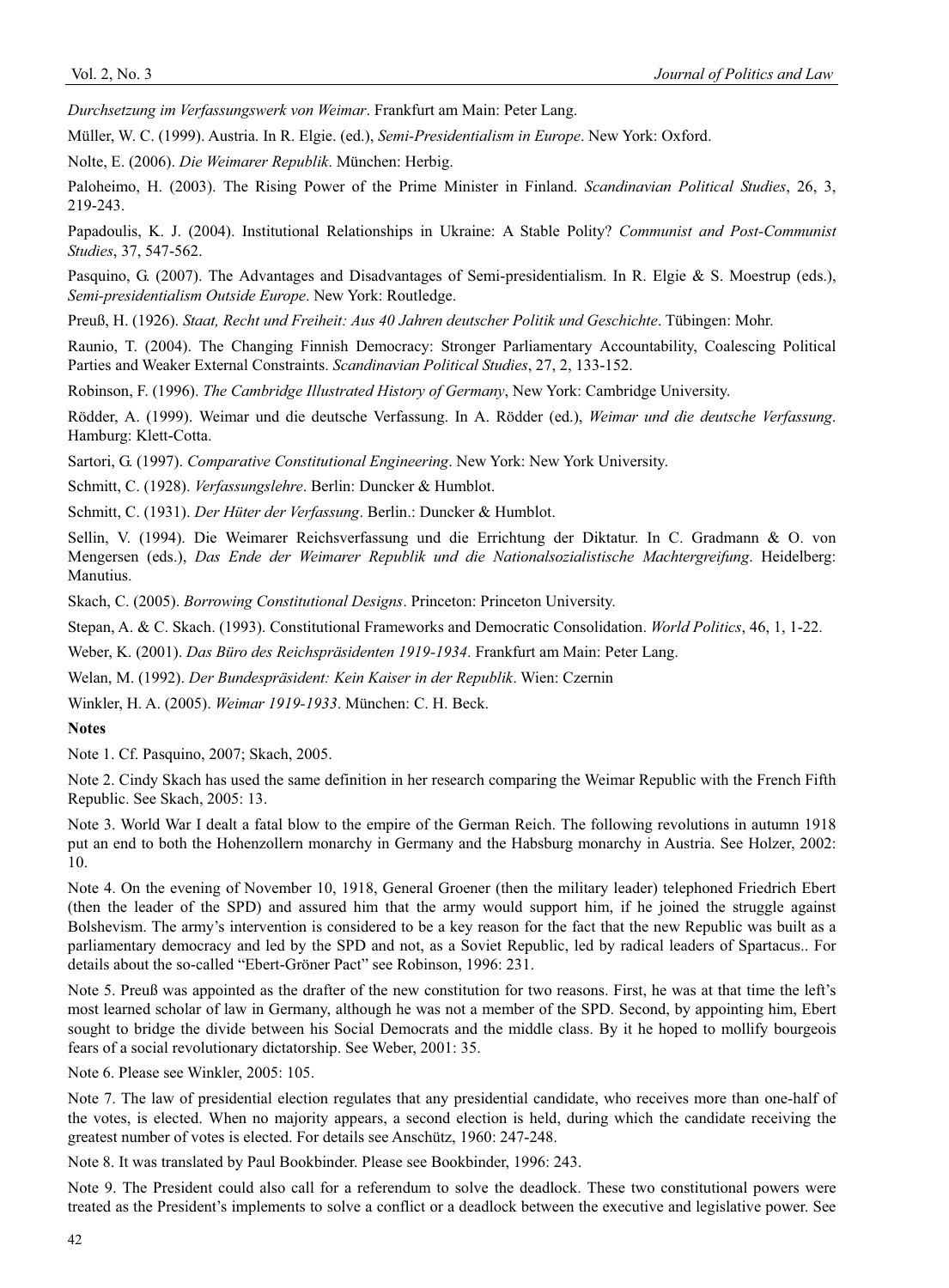*Durchsetzung im Verfassungswerk von Weimar*. Frankfurt am Main: Peter Lang.

Müller, W. C. (1999). Austria. In R. Elgie. (ed.), *Semi-Presidentialism in Europe*. New York: Oxford.

Nolte, E. (2006). *Die Weimarer Republik*. München: Herbig.

Paloheimo, H. (2003). The Rising Power of the Prime Minister in Finland. *Scandinavian Political Studies*, 26, 3, 219-243.

Papadoulis, K. J. (2004). Institutional Relationships in Ukraine: A Stable Polity? *Communist and Post-Communist Studies*, 37, 547-562.

Pasquino, G. (2007). The Advantages and Disadvantages of Semi-presidentialism. In R. Elgie & S. Moestrup (eds.), *Semi-presidentialism Outside Europe*. New York: Routledge.

Preuß, H. (1926). *Staat, Recht und Freiheit: Aus 40 Jahren deutscher Politik und Geschichte*. Tübingen: Mohr.

Raunio, T. (2004). The Changing Finnish Democracy: Stronger Parliamentary Accountability, Coalescing Political Parties and Weaker External Constraints. *Scandinavian Political Studies*, 27, 2, 133-152.

Robinson, F. (1996). *The Cambridge Illustrated History of Germany*, New York: Cambridge University.

Rödder, A. (1999). Weimar und die deutsche Verfassung. In A. Rödder (ed.), *Weimar und die deutsche Verfassung*. Hamburg: Klett-Cotta.

Sartori, G. (1997). *Comparative Constitutional Engineering*. New York: New York University.

Schmitt, C. (1928). *Verfassungslehre*. Berlin: Duncker & Humblot.

Schmitt, C. (1931). *Der Hüter der Verfassung*. Berlin.: Duncker & Humblot.

Sellin, V. (1994). Die Weimarer Reichsverfassung und die Errichtung der Diktatur. In C. Gradmann & O. von Mengersen (eds.), *Das Ende der Weimarer Republik und die Nationalsozialistische Machtergreifung*. Heidelberg: Manutius.

Skach, C. (2005). *Borrowing Constitutional Designs*. Princeton: Princeton University.

Stepan, A. & C. Skach. (1993). Constitutional Frameworks and Democratic Consolidation. *World Politics*, 46, 1, 1-22.

Weber, K. (2001). *Das Büro des Reichspräsidenten 1919-1934*. Frankfurt am Main: Peter Lang.

Welan, M. (1992). *Der Bundespräsident: Kein Kaiser in der Republik*. Wien: Czernin

Winkler, H. A. (2005). *Weimar 1919-1933*. München: C. H. Beck.

## **Notes**

Note 1. Cf. Pasquino, 2007; Skach, 2005.

Note 2. Cindy Skach has used the same definition in her research comparing the Weimar Republic with the French Fifth Republic. See Skach, 2005: 13.

Note 3. World War I dealt a fatal blow to the empire of the German Reich. The following revolutions in autumn 1918 put an end to both the Hohenzollern monarchy in Germany and the Habsburg monarchy in Austria. See Holzer, 2002: 10.

Note 4. On the evening of November 10, 1918, General Groener (then the military leader) telephoned Friedrich Ebert (then the leader of the SPD) and assured him that the army would support him, if he joined the struggle against Bolshevism. The army's intervention is considered to be a key reason for the fact that the new Republic was built as a parliamentary democracy and led by the SPD and not, as a Soviet Republic, led by radical leaders of Spartacus.. For details about the so-called "Ebert-Gröner Pact" see Robinson, 1996: 231.

Note 5. Preuß was appointed as the drafter of the new constitution for two reasons. First, he was at that time the left's most learned scholar of law in Germany, although he was not a member of the SPD. Second, by appointing him, Ebert sought to bridge the divide between his Social Democrats and the middle class. By it he hoped to mollify bourgeois fears of a social revolutionary dictatorship. See Weber, 2001: 35.

Note 6. Please see Winkler, 2005: 105.

Note 7. The law of presidential election regulates that any presidential candidate, who receives more than one-half of the votes, is elected. When no majority appears, a second election is held, during which the candidate receiving the greatest number of votes is elected. For details see Anschütz, 1960: 247-248.

Note 8. It was translated by Paul Bookbinder. Please see Bookbinder, 1996: 243.

Note 9. The President could also call for a referendum to solve the deadlock. These two constitutional powers were treated as the President's implements to solve a conflict or a deadlock between the executive and legislative power. See